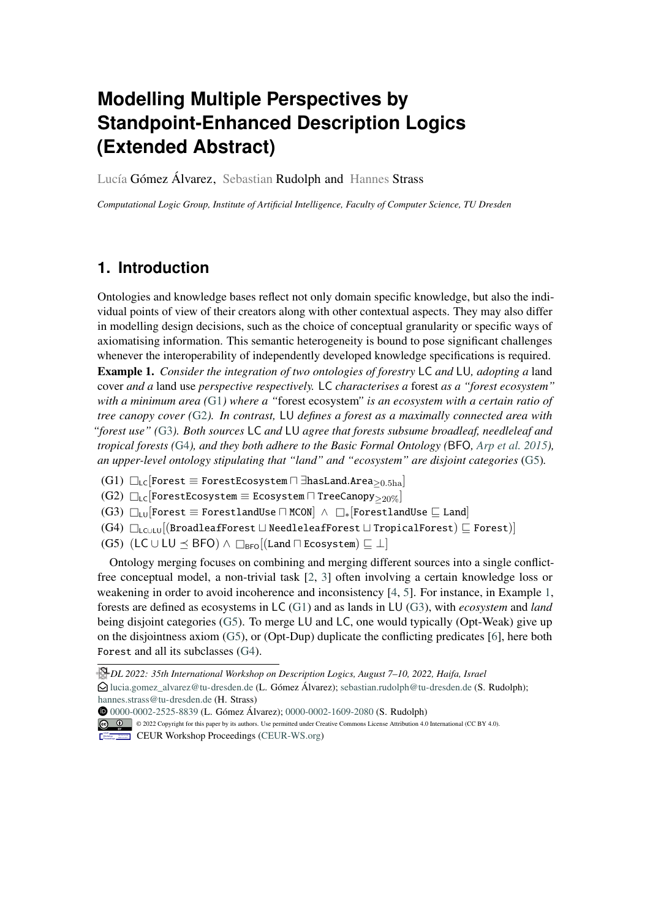# **Modelling Multiple Perspectives by Standpoint-Enhanced Description Logics (Extended Abstract)**

Lucía Gómez Álvarez, Sebastian Rudolph and Hannes Strass

*Computational Logic Group, Institute of Artificial Intelligence, Faculty of Computer Science, TU Dresden*

## **1. Introduction**

<span id="page-0-5"></span>Ontologies and knowledge bases reflect not only domain specific knowledge, but also the individual points of view of their creators along with other contextual aspects. They may also differ in modelling design decisions, such as the choice of conceptual granularity or specific ways of axiomatising information. This semantic heterogeneity is bound to pose significant challenges whenever the interoperability of independently developed knowledge specifications is required. Example 1. *Consider the integration of two ontologies of forestry* LC *and* LU*, adopting a* land cover *and a* land use *perspective respectively.* LC *characterises a* forest *as a "forest ecosystem" with a minimum area (*[G1](#page-0-0)*) where a "*forest ecosystem*" is an ecosystem with a certain ratio of tree canopy cover (*[G2](#page-0-1)*). In contrast,* LU *defines a forest as a maximally connected area with "forest use" (*[G3](#page-0-2)*). Both sources* LC *and* LU *agree that forests subsume broadleaf, needleleaf and tropical forests (*[G4](#page-0-3)*), and they both adhere to the Basic Formal Ontology (*BFO*, [Arp et al.](#page-4-0) [2015\)](#page-4-0), an upper-level ontology stipulating that "land" and "ecosystem" are disjoint categories* [\(G5\)](#page-0-4)*.*

- <span id="page-0-0"></span> $(G1)$   $□$ <sub>LC</sub>[Forest ≡ ForestEcosystem  $□$  ∃hasLand.Area $>$ <sub>0.5ha</sub>]
- <span id="page-0-1"></span> $(G2)$   $□_{LC}$ [ForestEcosystem  $\equiv$  Ecosystem  $□$  TreeCanopy $_{\geq 20\%}]$
- <span id="page-0-2"></span> $(G3)$   $\square$ <sub>LU</sub> Forest  $\equiv$  ForestlandUse  $\square$  MCON  $\wedge \square_*$  ForestlandUse  $\ssubseteq$  Land
- <span id="page-0-3"></span> $(G4)$   $□_{LCULU}[(BroadleafForest \sqcup NeedleleafForest \sqcup TropicalForest) \sqsubseteq Forest)]$
- <span id="page-0-4"></span>(G5) (LC ∪ LU  $\preceq$  BFO)  $\land$   $\Box_{\text{BFO}}$ [(Land  $\Box$  Ecosystem)  $\sqsubseteq \bot$ ]

Ontology merging focuses on combining and merging different sources into a single conflictfree conceptual model, a non-trivial task [\[2,](#page-4-1) [3\]](#page-4-2) often involving a certain knowledge loss or weakening in order to avoid incoherence and inconsistency [\[4,](#page-4-3) [5\]](#page-4-4). For instance, in Example [1,](#page-0-5) forests are defined as ecosystems in LC [\(G1\)](#page-0-0) and as lands in LU [\(G3\)](#page-0-2), with *ecosystem* and *land* being disjoint categories [\(G5\)](#page-0-4). To merge LU and LC, one would typically (Opt-Weak) give up on the disjointness axiom [\(G5\)](#page-0-4), or (Opt-Dup) duplicate the conflicting predicates [\[6\]](#page-4-5), here both Forest and all its subclasses [\(G4\)](#page-0-3).

© 2022 Copyright for this paper by its authors. Use permitted under Creative Commons License Attribution 4.0 International (CC BY 4.0).

```
Proceedings(CEUR-WS.org)
```
*DL 2022: 35th International Workshop on Description Logics, August 7–10, 2022, Haifa, Israel*

 $\bigcirc$ [lucia.gomez\\_alvarez@tu-dresden.de](mailto:lucia.gomez_alvarez@tu-dresden.de) (L. Gómez Álvarez); [sebastian.rudolph@tu-dresden.de](mailto:sebastian.rudolph@tu-dresden.de) (S. Rudolph); [hannes.strass@tu-dresden.de](mailto:hannes.strass@tu-dresden.de) (H. Strass)

[0000-0002-2525-8839](https://orcid.org/0000-0002-2525-8839) (L. Gómez Álvarez); [0000-0002-1609-2080](https://orcid.org/0000-0002-1609-2080) (S. Rudolph)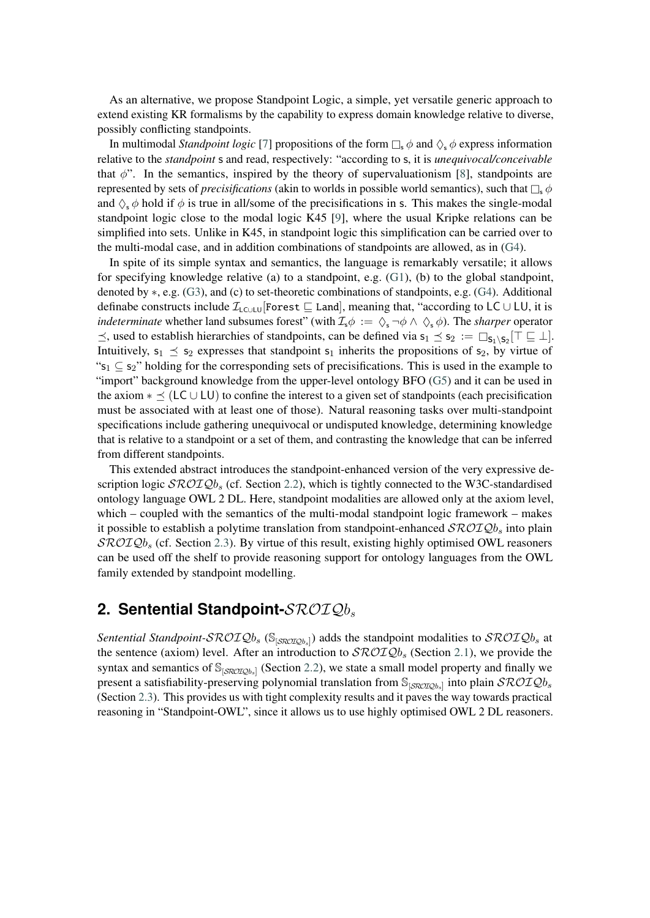As an alternative, we propose Standpoint Logic, a simple, yet versatile generic approach to extend existing KR formalisms by the capability to express domain knowledge relative to diverse, possibly conflicting standpoints.

In multimodal *Standpoint logic* [\[7\]](#page-4-6) propositions of the form  $\Box_s \phi$  and  $\Diamond_s \phi$  express information relative to the *standpoint* s and read, respectively: "according to s, it is *unequivocal/conceivable* that  $\phi$ ". In the semantics, inspired by the theory of supervaluationism [\[8\]](#page-4-7), standpoints are represented by sets of *precisifications* (akin to worlds in possible world semantics), such that  $\Box$ ,  $\phi$ and  $\Diamond$ ,  $\phi$  hold if  $\phi$  is true in all/some of the precisifications in s. This makes the single-modal standpoint logic close to the modal logic K45 [\[9\]](#page-4-8), where the usual Kripke relations can be simplified into sets. Unlike in K45, in standpoint logic this simplification can be carried over to the multi-modal case, and in addition combinations of standpoints are allowed, as in [\(G4\)](#page-0-3).

In spite of its simple syntax and semantics, the language is remarkably versatile; it allows for specifying knowledge relative (a) to a standpoint, e.g. [\(G1\)](#page-0-0), (b) to the global standpoint, denoted by  $\ast$ , e.g. [\(G3\)](#page-0-2), and (c) to set-theoretic combinations of standpoints, e.g. [\(G4\)](#page-0-3). Additional definabe constructs include  $\mathcal{I}_{\text{LCULU}}$ [Forest  $\sqsubseteq$  Land], meaning that, "according to LC ∪ LU, it is *indeterminate* whether land subsumes forest" (with  $\mathcal{I}_s \phi := \Diamond_s \neg \phi \land \Diamond_s \phi$ ). The *sharper* operator  $\preceq$ , used to establish hierarchies of standpoints, can be defined via  $s_1 \preceq s_2 := \Box_{s_1 \setminus s_2}[\top \sqsubseteq \bot]$ . Intuitively,  $s_1 \leq s_2$  expresses that standpoint  $s_1$  inherits the propositions of  $s_2$ , by virtue of " $s_1 \nsubseteq s_2$ " holding for the corresponding sets of precisifications. This is used in the example to "import" background knowledge from the upper-level ontology BFO [\(G5\)](#page-0-4) and it can be used in the axiom  $*\preceq$  (LC ∪ LU) to confine the interest to a given set of standpoints (each precisification must be associated with at least one of those). Natural reasoning tasks over multi-standpoint specifications include gathering unequivocal or undisputed knowledge, determining knowledge that is relative to a standpoint or a set of them, and contrasting the knowledge that can be inferred from different standpoints.

This extended abstract introduces the standpoint-enhanced version of the very expressive description logic  $\mathcal{SRO} \mathcal{IQ} b_s$  (cf. Section [2.2\)](#page-2-0), which is tightly connected to the W3C-standardised ontology language OWL 2 DL. Here, standpoint modalities are allowed only at the axiom level, which – coupled with the semantics of the multi-modal standpoint logic framework – makes it possible to establish a polytime translation from standpoint-enhanced  $\mathcal{SROLQb}_s$  into plain  $\mathcal{SROTQb}_s$  (cf. Section [2.3\)](#page-3-0). By virtue of this result, existing highly optimised OWL reasoners can be used off the shelf to provide reasoning support for ontology languages from the OWL family extended by standpoint modelling.

### 2. Sentential Standpoint- $\mathcal{SROIQ}b_s$

Sentential Standpoint-SROIQ $b_s$  (S<sub>[SROIQb<sub>s</sub>]) adds the standpoint modalities to SROIQb<sub>s</sub> at</sub> the sentence (axiom) level. After an introduction to  $\mathcal{SROLQb}_s$  (Section [2.1\)](#page-2-1), we provide the syntax and semantics of  $\mathbb{S}_{\text{[SRO IQb_s]}}$  (Section [2.2\)](#page-2-0), we state a small model property and finally we present a satisfiability-preserving polynomial translation from  $\mathbb{S}_{[SROIQb_s]}$  into plain  $\mathcal{SROIQb_s}$ (Section [2.3\)](#page-3-0). This provides us with tight complexity results and it paves the way towards practical reasoning in "Standpoint-OWL", since it allows us to use highly optimised OWL 2 DL reasoners.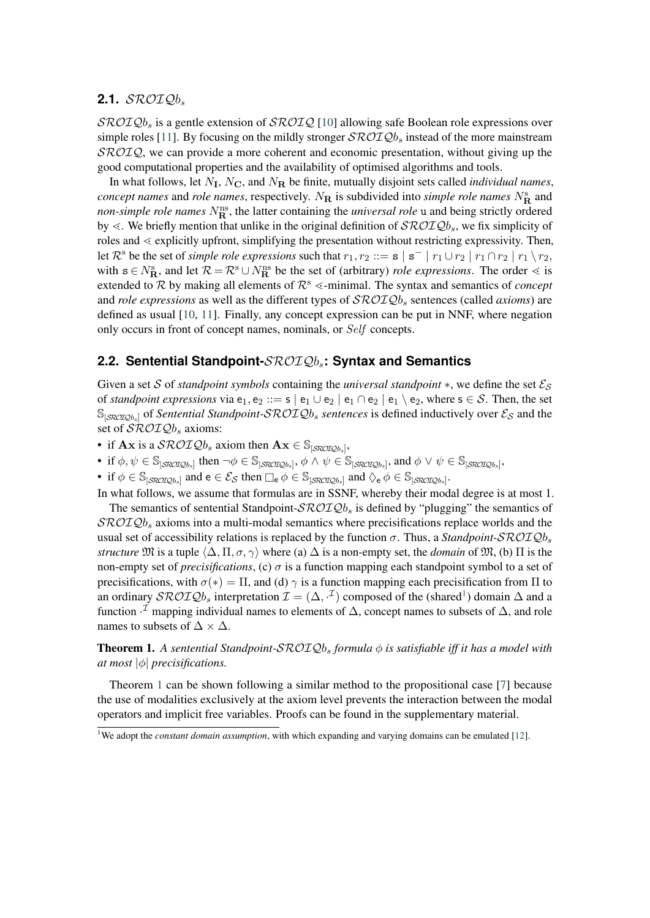#### <span id="page-2-1"></span>2.1.  $\mathcal{SROIO}b$ .

 $\mathcal{SRO}\mathcal{I}\mathcal{Q}\mathcal{b}_s$  is a gentle extension of  $\mathcal{SRO}\mathcal{I}\mathcal{Q}$  [\[10\]](#page-4-9) allowing safe Boolean role expressions over simple roles [\[11\]](#page-4-10). By focusing on the mildly stronger  $\mathcal{SROLQ}b_s$  instead of the more mainstream  $\mathcal{SROIO}$ , we can provide a more coherent and economic presentation, without giving up the good computational properties and the availability of optimised algorithms and tools.

In what follows, let  $N_I$ ,  $N_C$ , and  $N_R$  be finite, mutually disjoint sets called *individual names*, *concept names* and *role names*, respectively.  $N_{\rm R}$  is subdivided into *simple role names*  $N_{\rm R}^{\rm s}$  and *non-simple role names*  $N_{\mathbf{R}}^{\text{ns}}$ , the latter containing the *universal role* u and being strictly ordered by  $\ll$ . We briefly mention that unlike in the original definition of  $\mathcal{SROLQb}_s$ , we fix simplicity of roles and  $\leq$  explicitly upfront, simplifying the presentation without restricting expressivity. Then, let  $\mathcal{R}^s$  be the set of *simple role expressions* such that  $r_1, r_2 ::= s \mid s^- \mid r_1 \cup r_2 \mid r_1 \cap r_2 \mid r_1 \setminus r_2$ , with  $s \in N_R^s$ , and let  $\mathcal{R} = \mathcal{R}^s \cup N_R^{ns}$  be the set of (arbitrary) *role expressions*. The order  $\leq$  is extended to  $R$  by making all elements of  $R^s \le$ -minimal. The syntax and semantics of *concept* and *role expressions* as well as the different types of  $\mathcal{SROLQb}_s$  sentences (called *axioms*) are defined as usual [\[10,](#page-4-9) [11\]](#page-4-10). Finally, any concept expression can be put in NNF, where negation only occurs in front of concept names, nominals, or Self concepts.

#### <span id="page-2-0"></span>**2.2. Sentential Standpoint-**ℛℐ**: Syntax and Semantics**

Given a set S of *standpoint symbols* containing the *universal standpoint* \*, we define the set  $\mathcal{E}_S$ of *standpoint expressions* via  $e_1, e_2 ::= s \mid e_1 \cup e_2 \mid e_1 \cap e_2 \mid e_1 \setminus e_2$ , where  $s \in S$ . Then, the set  $\mathbb{S}_{\text{SROTOb},l}$  of *Sentential Standpoint-SROIQb<sub>s</sub> sentences* is defined inductively over  $\mathcal{E}_{\mathcal{S}}$  and the set of  $\mathcal{SROLQ}b_s$  axioms:

- if  $\mathbf{A} \mathbf{x}$  is a  $\mathcal{SROLQ}b_s$  axiom then  $\mathbf{A} \mathbf{x} \in \mathbb{S}_{[\mathcal{SROLQ}b_s]}$ ,
- if  $\phi, \psi \in \mathbb{S}_{[\text{SROIQb}_s]}$  then  $\neg \phi \in \mathbb{S}_{[\text{SROIQb}_s]}, \phi \land \psi \in \mathbb{S}_{[\text{SROIQb}_s]}$ , and  $\phi \lor \psi \in \mathbb{S}_{[\text{SROIQb}_s]}$ ,
- if  $\phi \in \mathbb{S}_{[\text{SROIQb}_s]}$  and  $e \in \mathcal{E}_{\mathcal{S}}$  then  $\Box_e \phi \in \mathbb{S}_{[\text{SROIQb}_s]}$  and  $\Diamond_e \phi \in \mathbb{S}_{[\text{SROIQb}_s]}$ .

In what follows, we assume that formulas are in SSNF, whereby their modal degree is at most 1. The semantics of sentential Standpoint- $\mathcal{SROTQ}b_s$  is defined by "plugging" the semantics of  $\mathcal{SROLQ}b_s$  axioms into a multi-modal semantics where precisifications replace worlds and the usual set of accessibility relations is replaced by the function  $\sigma$ . Thus, a *Standpoint-SROIQb<sub>s</sub> structure*  $\mathfrak{M}$  is a tuple  $\langle \Delta, \Pi, \sigma, \gamma \rangle$  where (a)  $\Delta$  is a non-empty set, the *domain* of  $\mathfrak{M}$ , (b)  $\Pi$  is the non-empty set of *precisifications*, (c)  $\sigma$  is a function mapping each standpoint symbol to a set of precisifications, with  $\sigma(*) = \Pi$ , and (d)  $\gamma$  is a function mapping each precisification from  $\Pi$  to an ordinary  $\mathcal{SROTQb}_s$  interpretation  $\mathcal{I} = (\Delta, \cdot^{\mathcal{I}})$  composed of the (shared<sup>[1](#page-2-2)</sup>) domain  $\Delta$  and a function  $\cdot^{\mathcal{I}}$  mapping individual names to elements of  $\Delta$ , concept names to subsets of  $\Delta$ , and role names to subsets of  $\Delta \times \Delta$ .

<span id="page-2-3"></span>**Theorem 1.** A sentential Standpoint-SROIQb<sub>s</sub> formula φ is satisfiable iff it has a model with *at most*  $|\phi|$  *precisifications.* 

Theorem [1](#page-2-3) can be shown following a similar method to the propositional case [\[7\]](#page-4-6) because the use of modalities exclusively at the axiom level prevents the interaction between the modal operators and implicit free variables. Proofs can be found in the supplementary material.

<span id="page-2-2"></span><sup>&</sup>lt;sup>1</sup>We adopt the *constant domain assumption*, with which expanding and varying domains can be emulated [\[12\]](#page-4-11).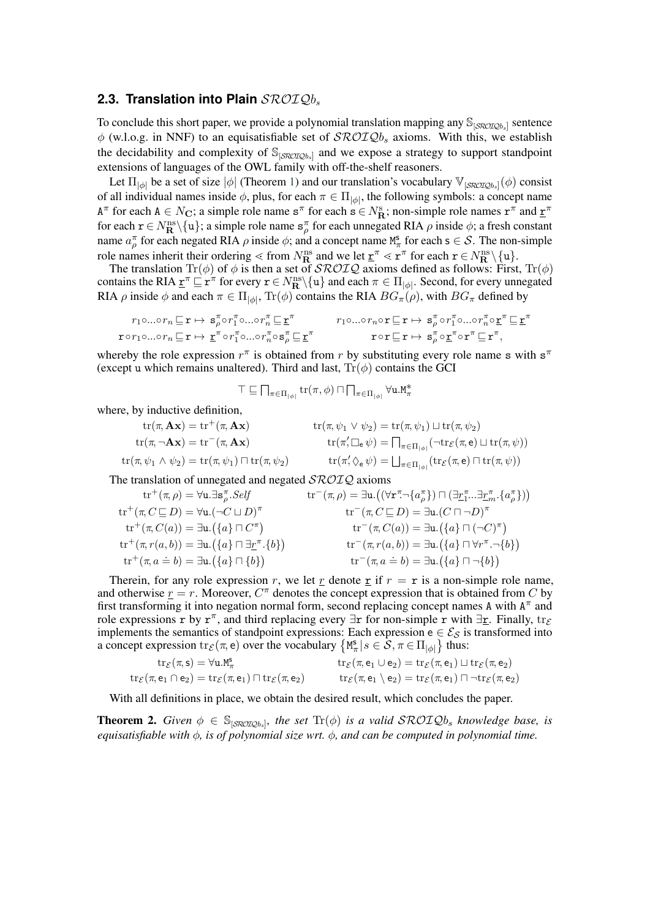#### <span id="page-3-0"></span>2.3. Translation into Plain  $\mathcal{SROIQ}b_s$

To conclude this short paper, we provide a polynomial translation mapping any  $\mathbb{S}_{[\text{SROIQb}_s]}$  sentence  $\phi$  (w.l.o.g. in NNF) to an equisatisfiable set of  $\mathcal{SROLQ}b_s$  axioms. With this, we establish the decidability and complexity of  $\mathbb{S}_{\left[ \mathcal{SRO}\right],\mathcal{Q}_{b_s} \left] }$  and we expose a strategy to support standpoint extensions of languages of the OWL family with off-the-shelf reasoners.

Let  $\Pi_{|\phi|}$  be a set of size  $|\phi|$  (Theorem [1\)](#page-2-3) and our translation's vocabulary  $\mathbb{V}_{[\mathcal{SRO} \mathcal{I} \mathcal{Q} b_s]}(\phi)$  consist of all individual names inside  $\phi$ , plus, for each  $\pi \in \Pi_{|\phi|}$ , the following symbols: a concept name  $A^{\pi}$  for each  $A \in N_{\mathbf{C}}$ ; a simple role name  $\mathbf{s}^{\pi}$  for each  $\mathbf{s} \in N_{\mathbf{R}}^{\mathbf{s}}$ ; non-simple role names  $\mathbf{r}^{\pi}$  and  $\underline{\mathbf{r}}^{\pi}$ for each  $\mathbf{r} \in N^{\text{ns}}_{\mathbf{R}}\setminus\{\mathbf{u}\}\$ ; a simple role name  $\mathbf{s}_{\rho}^{\pi}$  for each unnegated RIA  $\rho$  inside  $\phi$ ; a fresh constant name  $a_p^{\pi}$  for each negated RIA  $\rho$  inside  $\phi$ ; and a concept name  $M_{\pi}^s$  for each  $s \in S$ . The non-simple role names inherit their ordering  $\leq$  from  $N_{\mathbf{R}}^{\text{ns}}$  and we let  $\underline{\mathbf{r}}^{\pi} \leq \mathbf{r}^{\pi}$  for each  $\mathbf{r} \in N_{\mathbf{R}}^{\text{ns}} \setminus \{ \mathbf{u} \}.$ 

The translation  $\text{Tr}(\phi)$  of  $\phi$  is then a set of  $\mathcal{SROLQ}$  axioms defined as follows: First,  $\text{Tr}(\phi)$ contains the RIA  $\underline{\mathbf{r}}^{\pi} \sqsubseteq \mathbf{r}^{\pi}$  for every  $\mathbf{r} \in N^{\text{ns}}_{\mathbf{R}} \setminus \{u\}$  and each  $\pi \in \Pi_{|\phi|}$ . Second, for every unnegated RIA  $\rho$  inside  $\phi$  and each  $\pi \in \Pi_{|\phi|}$ ,  $\text{Tr}(\phi)$  contains the RIA  $BG_{\pi}(\rho)$ , with  $BG_{\pi}$  defined by

$$
\begin{array}{ll}\nr_1 \circ \ldots \circ r_n \sqsubseteq r \mapsto & \mathbf{s}_\rho^\pi \circ r_1^\pi \circ \ldots \circ r_n^\pi \sqsubseteq \underline{\mathbf{r}}^\pi & r_1 \circ \ldots \circ r_n \circ \mathbf{r} \sqsubseteq r \mapsto & \mathbf{s}_\rho^\pi \circ r_1^\pi \circ \ldots \circ r_n^\pi \circ \underline{\mathbf{r}}^\pi \sqsubseteq \underline{\mathbf{r}}^\pi \\
\mathbf{r} \circ r_1 \circ \ldots \circ r_n \sqsubseteq \mathbf{r} \mapsto & \underline{\mathbf{r}}^\pi \circ r_1^\pi \circ \ldots \circ r_n^\pi \circ \mathbf{s}_\rho^\pi \sqsubseteq \underline{\mathbf{r}}^\pi & \mathbf{r} \circ \mathbf{r} \sqsubseteq \mathbf{r} \mapsto & \mathbf{s}_\rho^\pi \circ \underline{\mathbf{r}}^\pi \circ \mathbf{r}^\pi \sqsubseteq \mathbf{r}^\pi,\n\end{array}
$$

whereby the role expression  $r^{\pi}$  is obtained from r by substituting every role name s with  $s^{\pi}$ (except u which remains unaltered). Third and last,  $Tr(\phi)$  contains the GCI

$$
\top \sqsubseteq \prod_{\pi \in \Pi_{|\phi|}} \text{tr}(\pi, \phi) \sqcap \prod_{\pi \in \Pi_{|\phi|}} \forall \mathbf{u}.M_{\pi}^*
$$

where, by inductive definition,

$$
\begin{aligned}\n\text{tr}(\pi, \mathbf{A}\mathbf{x}) &= \text{tr}^+(\pi, \mathbf{A}\mathbf{x}) & \text{tr}(\pi, \psi_1 \vee \psi_2) &= \text{tr}(\pi, \psi_1) \sqcup \text{tr}(\pi, \psi_2) \\
\text{tr}(\pi, \neg \mathbf{A}\mathbf{x}) &= \text{tr}^-(\pi, \mathbf{A}\mathbf{x}) & \text{tr}(\pi', \Box_e \psi) &= \prod_{\pi \in \Pi_{|\phi|}} (\neg \text{tr}_{\mathcal{E}}(\pi, e) \sqcup \text{tr}(\pi, \psi)) \\
\text{tr}(\pi, \psi_1 \wedge \psi_2) &= \text{tr}(\pi, \psi_1) \sqcap \text{tr}(\pi, \psi_2) & \text{tr}(\pi', \Diamond_e \psi) &= \bigsqcup_{\pi \in \Pi_{|\phi|}} (\text{tr}_{\mathcal{E}}(\pi, e) \sqcap \text{tr}(\pi, \psi))\n\end{aligned}
$$

The translation of unnegated and negated  $\mathcal{SROTQ}$  axioms

$$
\mathrm{tr}^+(\pi, \mathcal{C} \sqsubseteq D) = \forall \mathbf{u}.\exists \mathbf{s}_{\rho}^{\pi}.Self
$$
\n
$$
\mathrm{tr}^+(\pi, \mathcal{C} \sqsubseteq D) = \forall \mathbf{u}. (\neg \mathcal{C} \sqcup D)^{\pi}
$$
\n
$$
\mathrm{tr}^+(\pi, \mathcal{C} \sqsubseteq D) = \exists \mathbf{u}. (\{a\} \sqcap C^{\pi})
$$
\n
$$
\mathrm{tr}^+(\pi, \mathcal{C}(a)) = \exists \mathbf{u}. (\{a\} \sqcap C^{\pi})
$$
\n
$$
\mathrm{tr}^+(\pi, \pi(a, b)) = \exists \mathbf{u}. (\{a\} \sqcap \exists \underline{r}^{\pi}. \{b\})
$$
\n
$$
\mathrm{tr}^+(\pi, \pi(a, b)) = \exists \mathbf{u}. (\{a\} \sqcap \exists \underline{r}^{\pi}. \{b\})
$$
\n
$$
\mathrm{tr}^+(\pi, \pi(a, b)) = \exists \mathbf{u}. (\{a\} \sqcap \{b\})
$$
\n
$$
\mathrm{tr}^+(\pi, \pi(a, b)) = \exists \mathbf{u}. (\{a\} \sqcap \{b\})
$$
\n
$$
\mathrm{tr}^-(\pi, \pi(a, b)) = \exists \mathbf{u}. (\{a\} \sqcap \neg b)
$$
\n
$$
\mathrm{tr}^-(\pi, \pi(a, b)) = \exists \mathbf{u}. (\{a\} \sqcap \neg b)
$$
\n
$$
\mathrm{tr}^-(\pi, \pi(a, b)) = \exists \mathbf{u}. (\{a\} \sqcap \neg b)
$$

Therein, for any role expression r, we let r denote r if  $r = r$  is a non-simple role name, and otherwise  $\underline{r} = r$ . Moreover,  $C^{\pi}$  denotes the concept expression that is obtained from C by first transforming it into negation normal form, second replacing concept names A with  $A^{\pi}$  and role expressions r by r<sup> $\pi$ </sup>, and third replacing every  $\exists$ r for non-simple r with  $\exists$ r. Finally, tr $\epsilon$ implements the semantics of standpoint expressions: Each expression  $e \in \mathcal{E}_{\mathcal{S}}$  is transformed into a concept expression  $\text{tr}_{\mathcal{E}}(\pi, e)$  over the vocabulary  $\{M_{\pi}^s | s \in \mathcal{S}, \pi \in \Pi_{|\phi|}\}\$  thus:

$$
\begin{array}{ll}\mathrm{tr}_{\mathcal{E}}(\pi,\mathsf{s})=\forall \mathsf{u}.\mathtt{M}_\pi^\mathsf{s} & \mathrm{tr}_{\mathcal{E}}(\pi,\mathsf{e}_1\cup\mathsf{e}_2)=\mathrm{tr}_{\mathcal{E}}(\pi,\mathsf{e}_1)\sqcup \mathrm{tr}_{\mathcal{E}}(\pi,\mathsf{e}_2)\\ \mathrm{tr}_{\mathcal{E}}(\pi,\mathsf{e}_1\cap\mathsf{e}_2)=\mathrm{tr}_{\mathcal{E}}(\pi,\mathsf{e}_1)\sqcap\mathrm{tr}_{\mathcal{E}}(\pi,\mathsf{e}_2) & \mathrm{tr}_{\mathcal{E}}(\pi,\mathsf{e}_1\setminus\mathsf{e}_2)=\mathrm{tr}_{\mathcal{E}}(\pi,\mathsf{e}_1)\sqcap\lnot\mathrm{tr}_{\mathcal{E}}(\pi,\mathsf{e}_2)\end{array}
$$

With all definitions in place, we obtain the desired result, which concludes the paper.

**Theorem 2.** Given  $\phi \in \mathbb{S}_{[\text{SROID},k]}$ , the set  $\text{Tr}(\phi)$  is a valid  $\text{SROID},$  knowledge base, is *equisatisfiable with*  $\phi$ , *is of polynomial size wrt.*  $\phi$ , *and can be computed in polynomial time.*